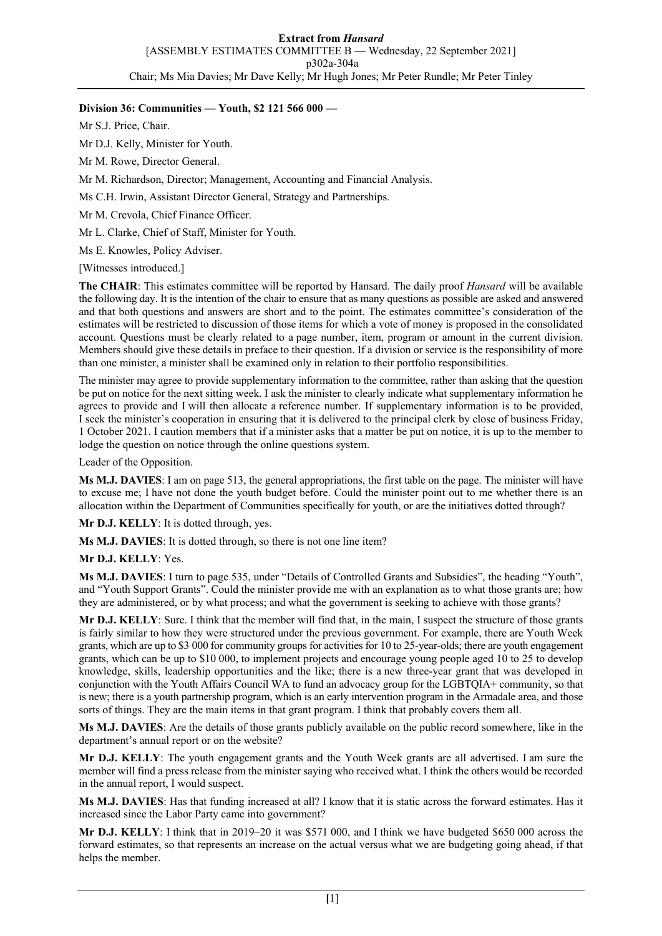## **Division 36: Communities — Youth, \$2 121 566 000 —**

Mr S.J. Price, Chair.

Mr D.J. Kelly, Minister for Youth.

Mr M. Rowe, Director General.

Mr M. Richardson, Director; Management, Accounting and Financial Analysis.

Ms C.H. Irwin, Assistant Director General, Strategy and Partnerships.

Mr M. Crevola, Chief Finance Officer.

Mr L. Clarke, Chief of Staff, Minister for Youth.

Ms E. Knowles, Policy Adviser.

[Witnesses introduced.]

**The CHAIR**: This estimates committee will be reported by Hansard. The daily proof *Hansard* will be available the following day. It is the intention of the chair to ensure that as many questions as possible are asked and answered and that both questions and answers are short and to the point. The estimates committee's consideration of the estimates will be restricted to discussion of those items for which a vote of money is proposed in the consolidated account. Questions must be clearly related to a page number, item, program or amount in the current division. Members should give these details in preface to their question. If a division or service is the responsibility of more than one minister, a minister shall be examined only in relation to their portfolio responsibilities.

The minister may agree to provide supplementary information to the committee, rather than asking that the question be put on notice for the next sitting week. I ask the minister to clearly indicate what supplementary information he agrees to provide and I will then allocate a reference number. If supplementary information is to be provided, I seek the minister's cooperation in ensuring that it is delivered to the principal clerk by close of business Friday, 1 October 2021. I caution members that if a minister asks that a matter be put on notice, it is up to the member to lodge the question on notice through the online questions system.

Leader of the Opposition.

**Ms M.J. DAVIES**: I am on page 513, the general appropriations, the first table on the page. The minister will have to excuse me; I have not done the youth budget before. Could the minister point out to me whether there is an allocation within the Department of Communities specifically for youth, or are the initiatives dotted through?

**Mr D.J. KELLY**: It is dotted through, yes.

**Ms M.J. DAVIES**: It is dotted through, so there is not one line item?

**Mr D.J. KELLY**: Yes.

**Ms M.J. DAVIES**: I turn to page 535, under "Details of Controlled Grants and Subsidies", the heading "Youth", and "Youth Support Grants". Could the minister provide me with an explanation as to what those grants are; how they are administered, or by what process; and what the government is seeking to achieve with those grants?

**Mr D.J. KELLY**: Sure. I think that the member will find that, in the main, I suspect the structure of those grants is fairly similar to how they were structured under the previous government. For example, there are Youth Week grants, which are up to \$3 000 for community groups for activities for 10 to 25-year-olds; there are youth engagement grants, which can be up to \$10 000, to implement projects and encourage young people aged 10 to 25 to develop knowledge, skills, leadership opportunities and the like; there is a new three-year grant that was developed in conjunction with the Youth Affairs Council WA to fund an advocacy group for the LGBTQIA+ community, so that is new; there is a youth partnership program, which is an early intervention program in the Armadale area, and those sorts of things. They are the main items in that grant program. I think that probably covers them all.

**Ms M.J. DAVIES**: Are the details of those grants publicly available on the public record somewhere, like in the department's annual report or on the website?

**Mr D.J. KELLY**: The youth engagement grants and the Youth Week grants are all advertised. I am sure the member will find a press release from the minister saying who received what. I think the others would be recorded in the annual report, I would suspect.

**Ms M.J. DAVIES**: Has that funding increased at all? I know that it is static across the forward estimates. Has it increased since the Labor Party came into government?

**Mr D.J. KELLY**: I think that in 2019–20 it was \$571 000, and I think we have budgeted \$650 000 across the forward estimates, so that represents an increase on the actual versus what we are budgeting going ahead, if that helps the member.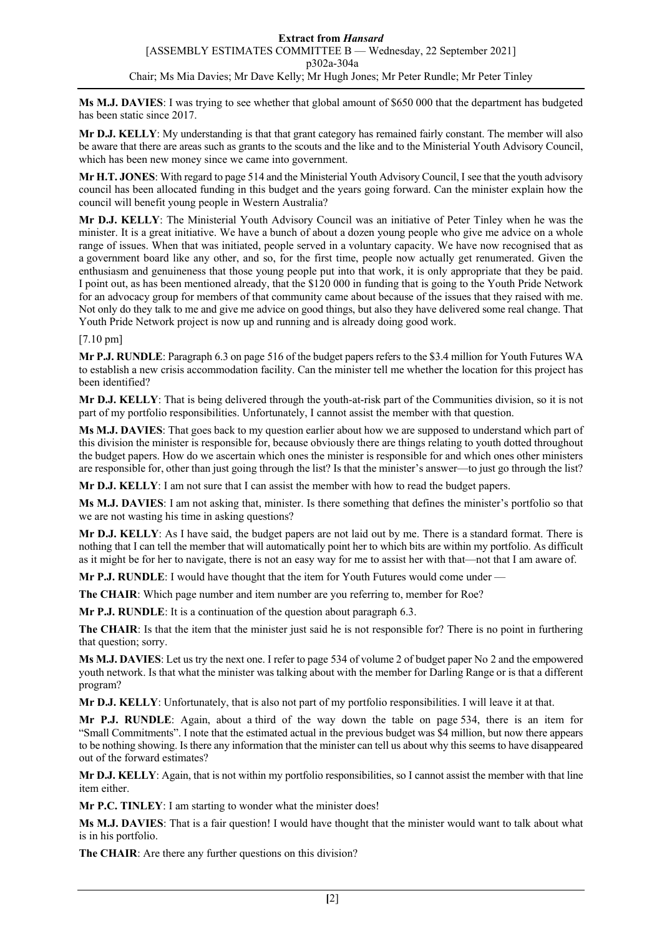**Ms M.J. DAVIES**: I was trying to see whether that global amount of \$650 000 that the department has budgeted has been static since 2017.

**Mr D.J. KELLY**: My understanding is that that grant category has remained fairly constant. The member will also be aware that there are areas such as grants to the scouts and the like and to the Ministerial Youth Advisory Council, which has been new money since we came into government.

**Mr H.T. JONES**: With regard to page 514 and the Ministerial Youth Advisory Council, I see that the youth advisory council has been allocated funding in this budget and the years going forward. Can the minister explain how the council will benefit young people in Western Australia?

**Mr D.J. KELLY**: The Ministerial Youth Advisory Council was an initiative of Peter Tinley when he was the minister. It is a great initiative. We have a bunch of about a dozen young people who give me advice on a whole range of issues. When that was initiated, people served in a voluntary capacity. We have now recognised that as a government board like any other, and so, for the first time, people now actually get renumerated. Given the enthusiasm and genuineness that those young people put into that work, it is only appropriate that they be paid. I point out, as has been mentioned already, that the \$120 000 in funding that is going to the Youth Pride Network for an advocacy group for members of that community came about because of the issues that they raised with me. Not only do they talk to me and give me advice on good things, but also they have delivered some real change. That Youth Pride Network project is now up and running and is already doing good work.

## [7.10 pm]

**Mr P.J. RUNDLE**: Paragraph 6.3 on page 516 of the budget papers refers to the \$3.4 million for Youth Futures WA to establish a new crisis accommodation facility. Can the minister tell me whether the location for this project has been identified?

**Mr D.J. KELLY**: That is being delivered through the youth-at-risk part of the Communities division, so it is not part of my portfolio responsibilities. Unfortunately, I cannot assist the member with that question.

**Ms M.J. DAVIES**: That goes back to my question earlier about how we are supposed to understand which part of this division the minister is responsible for, because obviously there are things relating to youth dotted throughout the budget papers. How do we ascertain which ones the minister is responsible for and which ones other ministers are responsible for, other than just going through the list? Is that the minister's answer—to just go through the list?

**Mr D.J. KELLY**: I am not sure that I can assist the member with how to read the budget papers.

**Ms M.J. DAVIES**: I am not asking that, minister. Is there something that defines the minister's portfolio so that we are not wasting his time in asking questions?

**Mr D.J. KELLY**: As I have said, the budget papers are not laid out by me. There is a standard format. There is nothing that I can tell the member that will automatically point her to which bits are within my portfolio. As difficult as it might be for her to navigate, there is not an easy way for me to assist her with that—not that I am aware of.

**Mr P.J. RUNDLE**: I would have thought that the item for Youth Futures would come under —

**The CHAIR**: Which page number and item number are you referring to, member for Roe?

**Mr P.J. RUNDLE**: It is a continuation of the question about paragraph 6.3.

**The CHAIR**: Is that the item that the minister just said he is not responsible for? There is no point in furthering that question; sorry.

**Ms M.J. DAVIES**: Let us try the next one. I refer to page 534 of volume 2 of budget paper No 2 and the empowered youth network. Is that what the minister was talking about with the member for Darling Range or is that a different program?

**Mr D.J. KELLY**: Unfortunately, that is also not part of my portfolio responsibilities. I will leave it at that.

**Mr P.J. RUNDLE**: Again, about a third of the way down the table on page 534, there is an item for "Small Commitments". I note that the estimated actual in the previous budget was \$4 million, but now there appears to be nothing showing. Is there any information that the minister can tell us about why this seems to have disappeared out of the forward estimates?

**Mr D.J. KELLY**: Again, that is not within my portfolio responsibilities, so I cannot assist the member with that line item either.

**Mr P.C. TINLEY**: I am starting to wonder what the minister does!

**Ms M.J. DAVIES**: That is a fair question! I would have thought that the minister would want to talk about what is in his portfolio.

**The CHAIR**: Are there any further questions on this division?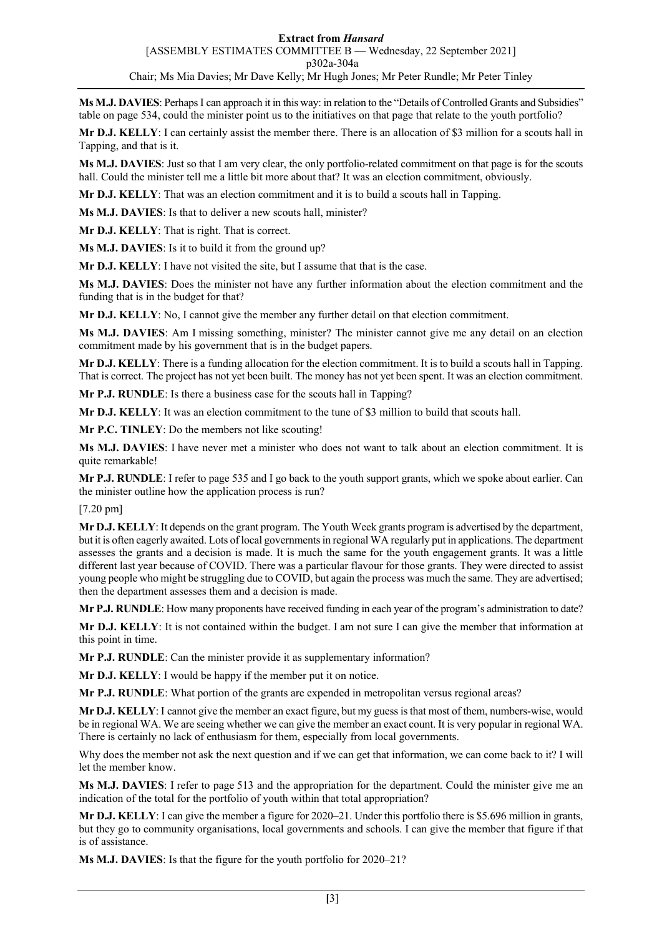**Ms M.J. DAVIES**: PerhapsI can approach it in this way: in relation to the "Details of Controlled Grants and Subsidies" table on page 534, could the minister point us to the initiatives on that page that relate to the youth portfolio?

**Mr D.J. KELLY**: I can certainly assist the member there. There is an allocation of \$3 million for a scouts hall in Tapping, and that is it.

**Ms M.J. DAVIES**: Just so that I am very clear, the only portfolio-related commitment on that page is for the scouts hall. Could the minister tell me a little bit more about that? It was an election commitment, obviously.

**Mr D.J. KELLY**: That was an election commitment and it is to build a scouts hall in Tapping.

**Ms M.J. DAVIES**: Is that to deliver a new scouts hall, minister?

**Mr D.J. KELLY**: That is right. That is correct.

**Ms M.J. DAVIES**: Is it to build it from the ground up?

**Mr D.J. KELLY:** I have not visited the site, but I assume that that is the case.

**Ms M.J. DAVIES**: Does the minister not have any further information about the election commitment and the funding that is in the budget for that?

**Mr D.J. KELLY**: No, I cannot give the member any further detail on that election commitment.

**Ms M.J. DAVIES**: Am I missing something, minister? The minister cannot give me any detail on an election commitment made by his government that is in the budget papers.

**Mr D.J. KELLY**: There is a funding allocation for the election commitment. It is to build a scouts hall in Tapping. That is correct. The project has not yet been built. The money has not yet been spent. It was an election commitment.

**Mr P.J. RUNDLE**: Is there a business case for the scouts hall in Tapping?

**Mr D.J. KELLY**: It was an election commitment to the tune of \$3 million to build that scouts hall.

**Mr P.C. TINLEY**: Do the members not like scouting!

**Ms M.J. DAVIES**: I have never met a minister who does not want to talk about an election commitment. It is quite remarkable!

**Mr P.J. RUNDLE**: I refer to page 535 and I go back to the youth support grants, which we spoke about earlier. Can the minister outline how the application process is run?

[7.20 pm]

**Mr D.J. KELLY**: It depends on the grant program. The Youth Week grants program is advertised by the department, but it is often eagerly awaited. Lots of local governments in regional WA regularly put in applications. The department assesses the grants and a decision is made. It is much the same for the youth engagement grants. It was a little different last year because of COVID. There was a particular flavour for those grants. They were directed to assist young people who might be struggling due to COVID, but again the process was much the same. They are advertised; then the department assesses them and a decision is made.

**Mr P.J. RUNDLE**: How many proponents have received funding in each year of the program's administration to date?

**Mr D.J. KELLY**: It is not contained within the budget. I am not sure I can give the member that information at this point in time.

**Mr P.J. RUNDLE**: Can the minister provide it as supplementary information?

**Mr D.J. KELLY**: I would be happy if the member put it on notice.

**Mr P.J. RUNDLE**: What portion of the grants are expended in metropolitan versus regional areas?

**Mr D.J. KELLY**: I cannot give the member an exact figure, but my guess is that most of them, numbers-wise, would be in regional WA. We are seeing whether we can give the member an exact count. It is very popular in regional WA. There is certainly no lack of enthusiasm for them, especially from local governments.

Why does the member not ask the next question and if we can get that information, we can come back to it? I will let the member know.

**Ms M.J. DAVIES**: I refer to page 513 and the appropriation for the department. Could the minister give me an indication of the total for the portfolio of youth within that total appropriation?

**Mr D.J. KELLY**: I can give the member a figure for 2020–21. Under this portfolio there is \$5.696 million in grants, but they go to community organisations, local governments and schools. I can give the member that figure if that is of assistance.

**Ms M.J. DAVIES**: Is that the figure for the youth portfolio for 2020–21?